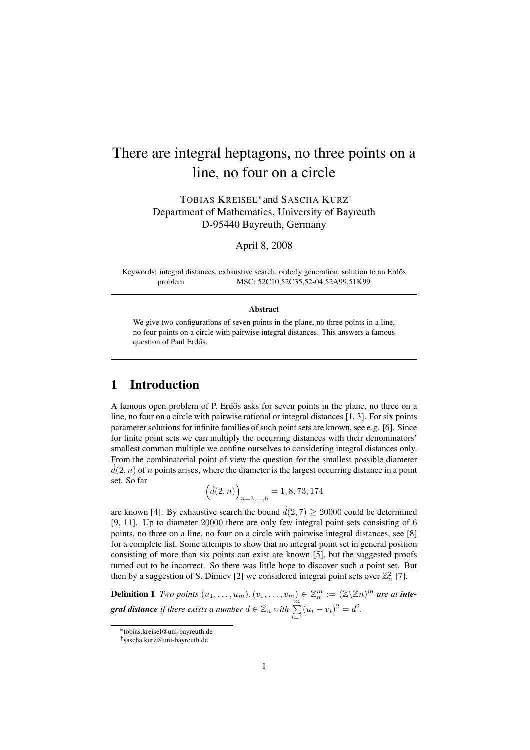# There are integral heptagons, no three points on a line, no four on a circle

TOBIAS KREISEL<sup>∗</sup> and SASCHA KURZ† Department of Mathematics, University of Bayreuth D-95440 Bayreuth, Germany

April 8, 2008

Keywords: integral distances, exhaustive search, orderly generation, solution to an Erdős problem MSC: 52C10,52C35,52-04,52A99,51K99

#### Abstract

We give two configurations of seven points in the plane, no three points in a line, no four points on a circle with pairwise integral distances. This answers a famous question of Paul Erdős.

### 1 Introduction

A famous open problem of P. Erdős asks for seven points in the plane, no three on a line, no four on a circle with pairwise rational or integral distances [1, 3]. For six points parameter solutions for infinite families of such point sets are known, see e.g. [6]. Since for finite point sets we can multiply the occurring distances with their denominators' smallest common multiple we confine ourselves to considering integral distances only. From the combinatorial point of view the question for the smallest possible diameter  $d(2, n)$  of n points arises, where the diameter is the largest occurring distance in a point set. So far

$$
(d(2, n))_{n=3,\dots,6} = 1, 8, 73, 174
$$

are known [4]. By exhaustive search the bound  $\dot{d}(2,7) \ge 20000$  could be determined [9, 11]. Up to diameter 20000 there are only few integral point sets consisting of 6 points, no three on a line, no four on a circle with pairwise integral distances, see [8] for a complete list. Some attempts to show that no integral point set in general position consisting of more than six points can exist are known [5], but the suggested proofs turned out to be incorrect. So there was little hope to discover such a point set. But then by a suggestion of S. Dimiev [2] we considered integral point sets over  $\mathbb{Z}_n^2$  [7].

**Definition 1** *Two points*  $(u_1, \ldots, u_m)$ ,  $(v_1, \ldots, v_m) \in \mathbb{Z}_n^m := (\mathbb{Z} \setminus \mathbb{Z} n)^m$  are at **integral distance** if there exists a number  $d \in \mathbb{Z}_n$  with  $\sum_{i=1}^m (u_i - v_i)^2 = d^2$ .

<sup>∗</sup>tobias.kreisel@uni-bayreuth.de

<sup>†</sup> sascha.kurz@uni-bayreuth.de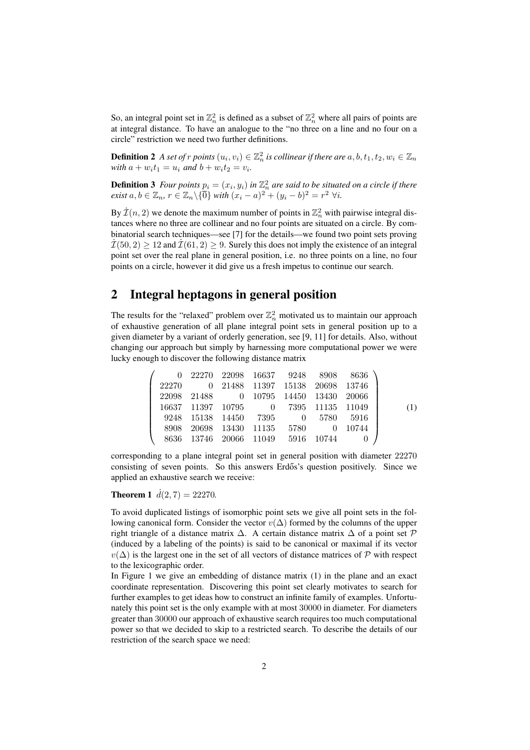So, an integral point set in  $\mathbb{Z}_n^2$  is defined as a subset of  $\mathbb{Z}_n^2$  where all pairs of points are at integral distance. To have an analogue to the "no three on a line and no four on a circle" restriction we need two further definitions.

**Definition 2** A set of  $r$  points  $(u_i, v_i) \in \mathbb{Z}_n^2$  is collinear if there are  $a, b, t_1, t_2, w_i \in \mathbb{Z}_n$ *with*  $a + w_i t_1 = u_i$  *and*  $b + w_i t_2 = v_i$ *.* 

**Definition 3** Four points  $p_i = (x_i, y_i)$  in  $\mathbb{Z}_n^2$  are said to be situated on a circle if there  $\text{exist } a, b \in \mathbb{Z}_n, r \in \mathbb{Z}_n \backslash \{\overline{0}\} \text{ with } (x_i - a)^2 + (y_i - b)^2 = r^2 \ \forall i.$ 

By  $\dot{\mathcal{I}}(n,2)$  we denote the maximum number of points in  $\mathbb{Z}_n^2$  with pairwise integral distances where no three are collinear and no four points are situated on a circle. By combinatorial search techniques—see [7] for the details—we found two point sets proving  $\mathcal{I}(50, 2) \geq 12$  and  $\mathcal{I}(61, 2) \geq 9$ . Surely this does not imply the existence of an integral point set over the real plane in general position, i.e. no three points on a line, no four points on a circle, however it did give us a fresh impetus to continue our search.

## 2 Integral heptagons in general position

The results for the "relaxed" problem over  $\mathbb{Z}_n^2$  motivated us to maintain our approach of exhaustive generation of all plane integral point sets in general position up to a given diameter by a variant of orderly generation, see [9, 11] for details. Also, without changing our approach but simply by harnessing more computational power we were lucky enough to discover the following distance matrix

|  |                                       |  | $0$ 22270 22098 16637 9248 8908 8636 |     |
|--|---------------------------------------|--|--------------------------------------|-----|
|  | 22270 0 21488 11397 15138 20698 13746 |  |                                      |     |
|  | 22098 21488 0 10795 14450 13430 20066 |  |                                      |     |
|  | 16637 11397 10795 0 7395 11135 11049  |  |                                      | (1) |
|  | 9248 15138 14450 7395 0 5780 5916     |  |                                      |     |
|  | 8908 20698 13430 11135 5780 0 10744   |  |                                      |     |
|  | 8636 13746 20066 11049 5916 10744     |  |                                      |     |

corresponding to a plane integral point set in general position with diameter 22270 consisting of seven points. So this answers Erdős's question positively. Since we applied an exhaustive search we receive:

#### **Theorem 1**  $\dot{d}(2, 7) = 22270$ .

To avoid duplicated listings of isomorphic point sets we give all point sets in the following canonical form. Consider the vector  $v(\Delta)$  formed by the columns of the upper right triangle of a distance matrix  $\Delta$ . A certain distance matrix  $\Delta$  of a point set  $\mathcal P$ (induced by a labeling of the points) is said to be canonical or maximal if its vector  $v(\Delta)$  is the largest one in the set of all vectors of distance matrices of P with respect to the lexicographic order.

In Figure 1 we give an embedding of distance matrix (1) in the plane and an exact coordinate representation. Discovering this point set clearly motivates to search for further examples to get ideas how to construct an infinite family of examples. Unfortunately this point set is the only example with at most 30000 in diameter. For diameters greater than 30000 our approach of exhaustive search requires too much computational power so that we decided to skip to a restricted search. To describe the details of our restriction of the search space we need: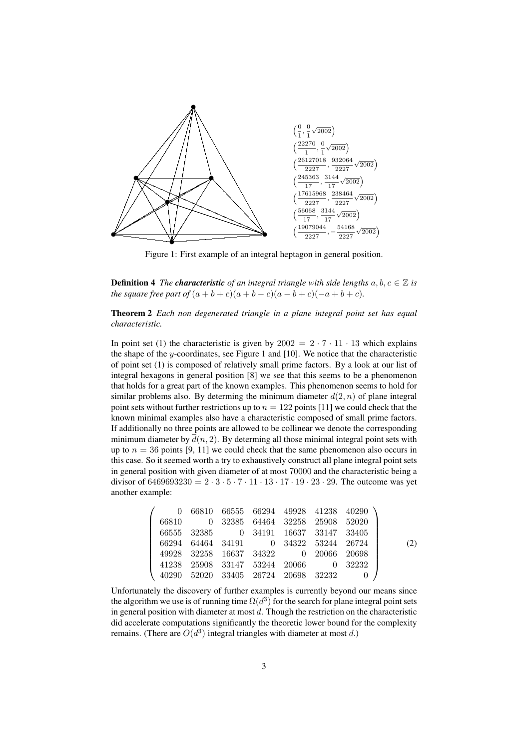

Figure 1: First example of an integral heptagon in general position.

**Definition 4** *The characteristic of an integral triangle with side lengths*  $a, b, c \in \mathbb{Z}$  *is the square free part of*  $(a + b + c)(a + b - c)(a - b + c)(-a + b + c)$ .

Theorem 2 *Each non degenerated triangle in a plane integral point set has equal characteristic.*

In point set (1) the characteristic is given by  $2002 = 2 \cdot 7 \cdot 11 \cdot 13$  which explains the shape of the y-coordinates, see Figure 1 and  $[10]$ . We notice that the characteristic of point set (1) is composed of relatively small prime factors. By a look at our list of integral hexagons in general position [8] we see that this seems to be a phenomenon that holds for a great part of the known examples. This phenomenon seems to hold for similar problems also. By determing the minimum diameter  $d(2, n)$  of plane integral point sets without further restrictions up to  $n = 122$  points [11] we could check that the known minimal examples also have a characteristic composed of small prime factors. If additionally no three points are allowed to be collinear we denote the corresponding minimum diameter by  $d(n, 2)$ . By determing all those minimal integral point sets with up to  $n = 36$  points [9, 11] we could check that the same phenomenon also occurs in this case. So it seemed worth a try to exhaustively construct all plane integral point sets in general position with given diameter of at most 70000 and the characteristic being a divisor of  $6469693230 = 2 \cdot 3 \cdot 5 \cdot 7 \cdot 11 \cdot 13 \cdot 17 \cdot 19 \cdot 23 \cdot 29$ . The outcome was yet another example:

$$
\left(\begin{array}{ccccc} 0 & 66810 & 66555 & 66294 & 49928 & 41238 & 40290 \\ 66810 & 0 & 32385 & 64464 & 32258 & 25908 & 52020 \\ 66555 & 32385 & 0 & 34191 & 16637 & 33147 & 33405 \\ 66294 & 64464 & 34191 & 0 & 34322 & 53244 & 26724 \\ 49928 & 32258 & 16637 & 34322 & 0 & 20066 & 20698 \\ 41238 & 25908 & 33147 & 53244 & 20066 & 0 & 32232 \\ 40290 & 52020 & 33405 & 26724 & 20698 & 32232 & 0 \end{array}\right) \tag{2}
$$

Unfortunately the discovery of further examples is currently beyond our means since the algorithm we use is of running time  $\Omega(d^3)$  for the search for plane integral point sets in general position with diameter at most  $d$ . Though the restriction on the characteristic did accelerate computations significantly the theoretic lower bound for the complexity remains. (There are  $O(d^3)$  integral triangles with diameter at most d.)